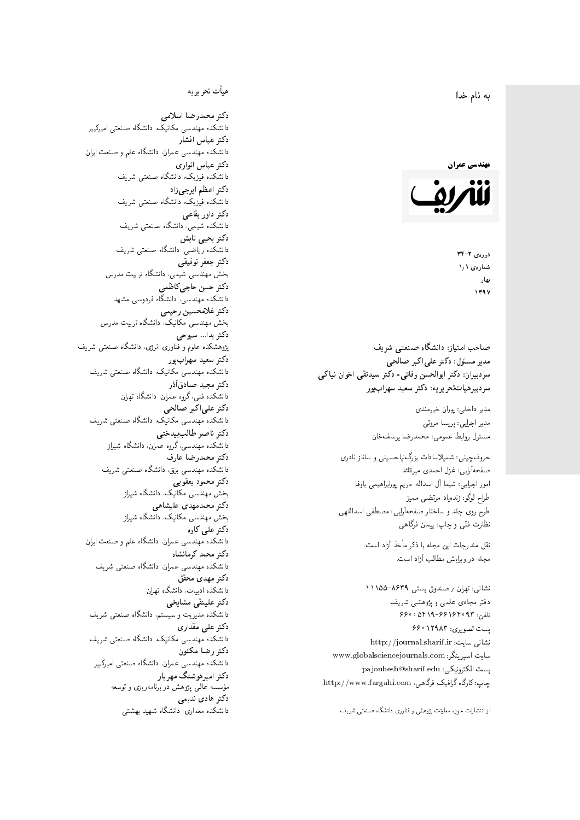#### $\overline{\phantom{a}}$ ز<br>ن به نام خدا .<br>.



دورەي ٢-٣۴ شمارەي ١٫١ بهار 1397

صاحب امتیاز: دانشگاه صنعتی شریف  $\mathfrak{c}$ مدیر مسئول: دکتر علیاکبر صالحی  $\mathfrak{c}$ سردبیران: دکتر ابوالحسن وفائی- دکتر سیدنقی اخوان نیاکی سردبیرهیاتتحر یر یه : دکتر سعید سهرابپور

> مدير داخلى: پوران خيرمندى<br>. مدير اجرايي: پريسا مروتي<br>. مسئول روابط عمومی: محمدرضا يوسفخان<br>.

حروفچینی: شمیلاسادات بزرگiیاحسینی و ساناز نادری صفحهآرایی: غزل احمدی میرقائد<br>امور اجرایی: شیما آل اسداله، مریم پورابراهیمی باوفا طراح لوگو: زندهیاد مرتضمی ممیز<br>ا طرح روى جلد و ساختار صفحه[رایی: مصطفى اسداللهی<br>بنالمستقد نظارت فنَّى و چاپ: پيمان فرگاهى<br>.

نقل مندرجات این مجله با ذکر مأخذ آزاد است.<br>مجله در ویرایش مطالب آزاد است.

نشانی: تهران / صندوق پستی ۸۶۳۹-۱۱۱۵۵ دفتر مجلهى علمى ويژوهشى شريف 7600 06196-96169 و 960 یست تصویری: ۱۲۹۸۳ ۶۶۰ نشانی سایت: http://journal.sharif.ir<br>ا سايت اسپرينگر: www.globalsciencejournals.com<br>د المکسمی کو مسلم است pajouhesh@sharif.edu :يست الكترونيكي:  ${\rm http://www.fargahi.com}$ ، چاپ: کارگاه گرافیک فرگاهی،

از انتشارات حوزه معاونت پژوهش و فناوری دانشگاه صنعتی شریف

## هيأت تحريريه

دكتر محمدرضا اسلامى مکانیک، دانشگاه صنعتی امیرکبیر<br>. دكتر عباس افشار دانشکده مهندسی عمران، دانشگاه علم و صنعت ایران<br>بحمد مصلحات دكتر عباس انوارى دانشکده فیزیک، دانشگاه صنعتبی شریف<br>محمد استانسا دکتر اعظم ايرجى زاد ، دانشگاه صنعتبی شریف<br>. دکتر داور بقاع**ی** دانشکده شیمی، دانشگاه صنعتی شریف<br>دکتر یحیی تابش دانشکده ریاضی، دانشگاه صنعتی شریف<br>برمسمنستانستان دكتر جعفر توفيقي بخش مهندسی شیمی، دانشگاه تربیت مدرس<br>سم دكتر حسن حاجىكاظمي دانشکده مهندسی، دانشگاه فردوسی مشهد<br>کستفلار م دكتر غلامحسين رحيمي هندسی مکانیک، دانشگاه تربیت مدرس<br>ا دکتر يدا... سبوحي پژوهشکده علوم و فناوری انرژی، دانشگاه صنعتبی شریف دکتر سعید سهرابپور<br>دانشکده مهندسی مکانیک، دانشگاه صنعتی شریف دکتر مجيد صادقاذر ا<br>. دانشکده فنی، گروه عمران، دانشگاه تهران دکتر علیاکبر صالحی = دانشکده مهندسی مکانیک، دانشگاه صنعتی شریف<br>یکستا دکتر ناصر طالب بیدختی r  $\mathfrak{c}$ دانشکده مهندسی، گروه عمران، دانشگاه شیراز<br>مکتب مصدر مقبل علم دكتر محمدرضا عارف دانشکده مهندسی برق، دانشگاه صنعتی شریف<br><mark>دکتر محمود یعقوبی</mark> هندسی مکانیک، دانشگاه شیراز<br>مسدوده مصلوفیاه دکتر محمدمهدی علیشاهی بخش مهندسی مکانیک، دانشگاه شیراز<br>مکتبهای کابی دکتر علی کاوہ دانشکده مهندسی عمران، دانشگاه علم و صنعت ایران<br>بحت دکتر محمد کرمانشاه .<br>. دانشکده مهندسی عمران، دانشگاه صنعتی شریف<br>مکتبر دولت مستق دکتر مهد*ی* محقق دانشکده ادبیات، دانشگاه تهران دکتر علینقی مشایخ<u>ی</u> دانشکده مدیریت و سیستم، دانشگاه صنعتبی شریف<br>محمد باست دکتر علی مقداری مکانیک، دانشگاه صنعتی شریف<br>. دكتر رضا مكنون دانشکده مهندسی عمران. دانشگاه صنعتی امیرکبیر<br>محمد است میگ دکتر امیرهوشنگ مهریار سه عالمی پژوهش در برنامهریزی و توسعه<br>۱۹ادم خار موسه<br>بر ءُ<br>ك دکتر هادی ندیمی  $\overline{a}$ م النظامي التي يتنازل من المحلوم التي تتنازل من المحلوم التي تتنازل من المحلوم التي تتنازل من المحلوم التي تتن<br>المحلوم التي تتنازل من المحلوم التي تتنازل من المحلوم التي تتنازل من المحلوم التي تتنازل من المحلوم التي تتناز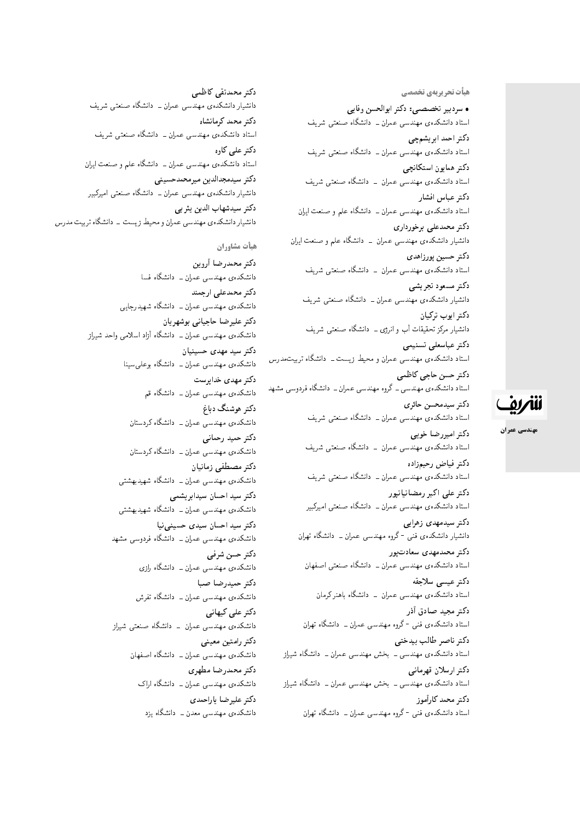هیأت تحریریهی تخصصی • سردبیر تخصصی: دکتر ابوالحسن وفایی استاد دانشکدهی مهندسی عمران ــ دانشگاه صنعتی شریف دکتر احمد ابر یشمچی استاد دانشکدهی مهندسی عمران ــ دانشگاه صنعتی شریف دكتر همايون استكانچى استاد دانشکدهی مهندسی عمران \_ دانشگاه صنعتی شریف دكتر عباس افشار استاد دانشکدهی مهندسی عمران ــ دانشگاه علم و صنعت ایران دكتر محمدعلى برخوردارى دانشیار دانشکدهی مهندسی عمران ـــ دانشگاه علم و صنعت ایران دكتر حسين پورزاهدى استاد دانشکدهی مهندسی عمران \_ دانشگاه صنعتی شریف دكتر مسعود تجريشي دانشیار دانشکدهی مهندسی عمران ــ دانشگاه صنعتبی شریف دكتر ايوب تركيان دانشیار مرکز تحقیقات آب و انرژی ـــ دانشگاه صنعتی شریف دكتر عباسعلى تسنيمى استاد دانشکدهی مهندسی عمران و محیط زیست ـ دانشگاه تربیتمدرس دکتر حسن حاجی کاظمی استاد دانشکدهی مهندسی ــ گروه مهندسی عمران ــ دانشگاه فردوسی مشهد دكتر سيدمحسن حائرى استاد دانشکدهی مهندسی عمران ــ دانشگاه صنعتی شریف دکتر امیررضا خوبے استاد دانشکدهی مهندسی عمران ــ دانشگاه صنعتی شریف دكتر فياض رحيمزإده استاد دانشکدهی مهندسی عمران ــ دانشگاه صنعتی شریف دکتر علی اکبر رمضانیانپور استاد دانشکدهی مهندسی عمران ــ دانشگاه صنعتی امیرکبیر دکتر سیدمهدی زهرایی دانشیار دانشکدهی فنی <sup>ـ</sup>گروه مهندسی عمران ــ دانشگاه تهران دكتر محمدمهدى سعادت پور استاد دانشکدهی مهندسی عمران ــ دانشگاه صنعتی اصفهان دكتر عيسى سلاجقه استاد دانشکدهی مهندسی عمران ــ دانشگاه باهنر کرمان دكتر مجيد صادق أذر استاد دانشکدهی فنبی -گروه مهندسی عمران ــ دانشگاه تهران دكتر ناصر طالب بيدختي استاد دانشکدهی مهندسی ــ بخش مهندسی عمران ــ دانشگاه شیراز دكتر ارسلان قهرمانبي استاد دانشکدهی مهندسی ــ بخش مهندسی عمران ــ دانشگاه شیراز

دكتر محمد كارأموز

استاد دانشکدهی فنبی -گروه مهندسی عمران ــ دانشگاه تهران

دكتر محمدتقى كاظمى دانشیار دانشکدهی مهندسی عمران ــ دانشگاه صنعتی شریف دكتر محمد كرمانشاه استاد دانشکدهی مهندسی عمران ــ دانشگاه صنعتی شریف دکتر علی کاوہ استاد دانشکدهی مهندسی عمران ــ دانشگاه علم و صنعت ایران دكتر سيدمجدالدين ميرمحمدحسينى دانشیار دانشکدهی مهندسی عمران ــ دانشگاه صنعتبی امیرکبیر دكتر سيدشهاب الدين يثر بي دانشیار دانشکدهی مهندسی عمران و محیط زیست – دانشگاه تربیت مدرس

هيأت مشاوران

دكتر محمدرضا أروين دانشکدهی مهندسی عمران ــ دانشگاه فسا دکتر محمدعلی ارجمند دانشکدهی مهندسی عمران ــ دانشگاه شهیدرجایی دكتر عليرضا حاجياني بوشهريان دانشکدهی مهندسی عمران ـــ دانشگاه آزاد اسلامی واحد شیراز دکتر سید مهدی حسینیان دانشکده ی مهندسی عمران ــ دانشگاه بوعلمیسینا دکتر مهدی خدارست دانشکدهی مهندسی عمران ــ دانشگاه قم دکتر هوشنگ دباغ دانشکدهی مهندسی عمران ــ دانشگاه کردستان دكتر حميد رحمانبي دانشکدهی مهندسی عمران ــ دانشگاه کردستان دكتر مصطفى زمانيان دانشکدهی مهندسی عمران ــ دانشگاه شهیدبهشتی دکتر سید احسان سیدابریشمی دانشکدهی مهندسی عمران ــ دانشگاه شهیدبهشتی دکتر سید احسان سیدی حسینی نیا دانشکدهی مهندسی عمران ــ دانشگاه فردوسی مشهد دكتر حسن شرفي دانشکدهی مهندسی عمران ــ دانشگاه رازی دكتر حميدرضا صبا دانشکده، مهندسی عمران ــ دانشگاه تفرش دکتر علی کیهانی دانشکدهی مهندسی عمران \_ دانشگاه صنعتی شیراز دكتر رامتين معيني دانشکدهی مهندسی عمران ــ دانشگاه اصفهان دكتر محمدرضا مطهري دانشکده، مهندسی عمران ــ دانشگاه اراک دكتر عليرضا ياراحمدى دانشکدهی مهندسی معدن ـــ دانشگاه یزد

للمريق

مهندسي عمران